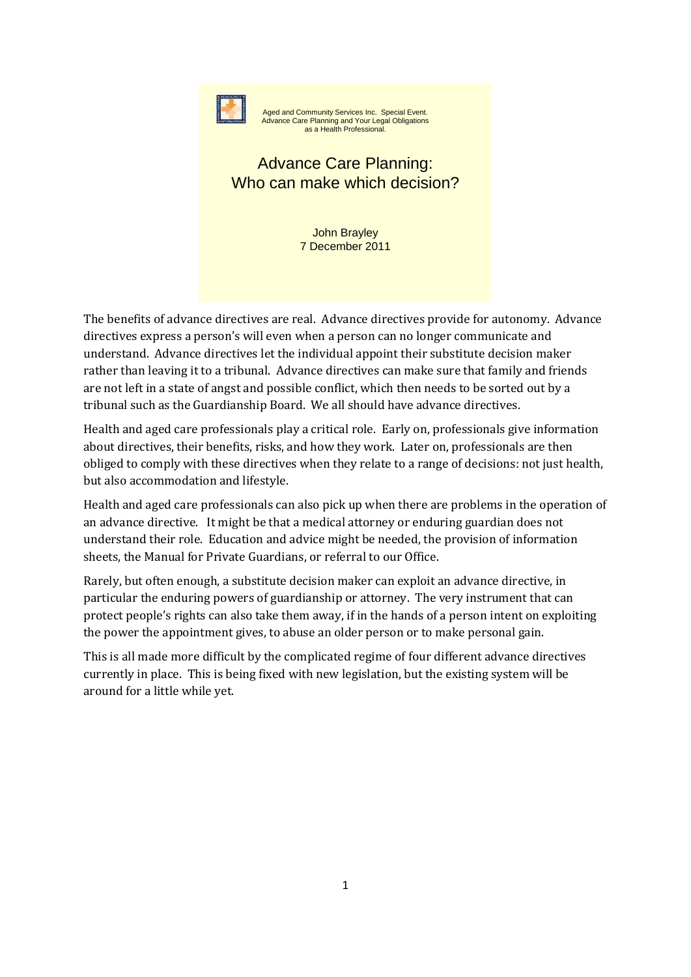

Aged and Community Services Inc. Special Event. Advance Care Planning and Your Legal Obligations as a Health Professional.

# Advance Care Planning: Who can make which decision?

John Brayley 7 December 2011

The benefits of advance directives are real. Advance directives provide for autonomy. Advance directives express a person's will even when a person can no longer communicate and understand. Advance directives let the individual appoint their substitute decision maker rather than leaving it to a tribunal. Advance directives can make sure that family and friends are not left in a state of angst and possible conflict, which then needs to be sorted out by a tribunal such as the Guardianship Board. We all should have advance directives.

Health and aged care professionals play a critical role. Early on, professionals give information about directives, their benefits, risks, and how they work. Later on, professionals are then obliged to comply with these directives when they relate to a range of decisions: not just health, but also accommodation and lifestyle.

Health and aged care professionals can also pick up when there are problems in the operation of an advance directive. It might be that a medical attorney or enduring guardian does not understand their role. Education and advice might be needed, the provision of information sheets, the Manual for Private Guardians, or referral to our Office.

Rarely, but often enough, a substitute decision maker can exploit an advance directive, in particular the enduring powers of guardianship or attorney. The very instrument that can protect people's rights can also take them away, if in the hands of a person intent on exploiting the power the appointment gives, to abuse an older person or to make personal gain.

This is all made more difficult by the complicated regime of four different advance directives currently in place. This is being fixed with new legislation, but the existing system will be around for a little while yet.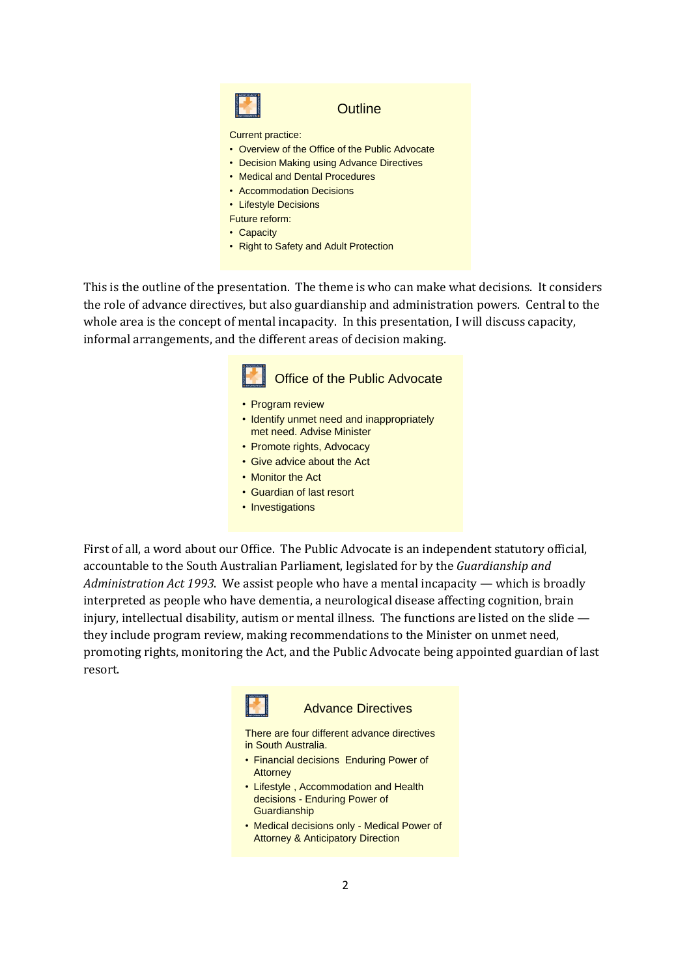

#### **Outline**

Current practice:

- Overview of the Office of the Public Advocate
- Decision Making using Advance Directives
- Medical and Dental Procedures
- Accommodation Decisions
- Lifestyle Decisions
- Future reform:
- Capacity
- Right to Safety and Adult Protection

This is the outline of the presentation. The theme is who can make what decisions. It considers the role of advance directives, but also guardianship and administration powers. Central to the whole area is the concept of mental incapacity. In this presentation, I will discuss capacity, informal arrangements, and the different areas of decision making.



- Program review
- Identify unmet need and inappropriately met need. Advise Minister
- Promote rights, Advocacy
- Give advice about the Act
- Monitor the Act
- Guardian of last resort
- Investigations

First of all, a word about our Office. The Public Advocate is an independent statutory official, accountable to the South Australian Parliament, legislated for by the *Guardianship and Administration Act 1993*. We assist people who have a mental incapacity — which is broadly interpreted as people who have dementia, a neurological disease affecting cognition, brain injury, intellectual disability, autism or mental illness. The functions are listed on the slide they include program review, making recommendations to the Minister on unmet need, promoting rights, monitoring the Act, and the Public Advocate being appointed guardian of last resort.



#### Advance Directives

There are four different advance directives in South Australia.

- Financial decisions Enduring Power of **Attorney**
- Lifestyle , Accommodation and Health decisions - Enduring Power of **Guardianship**
- Medical decisions only Medical Power of Attorney & Anticipatory Direction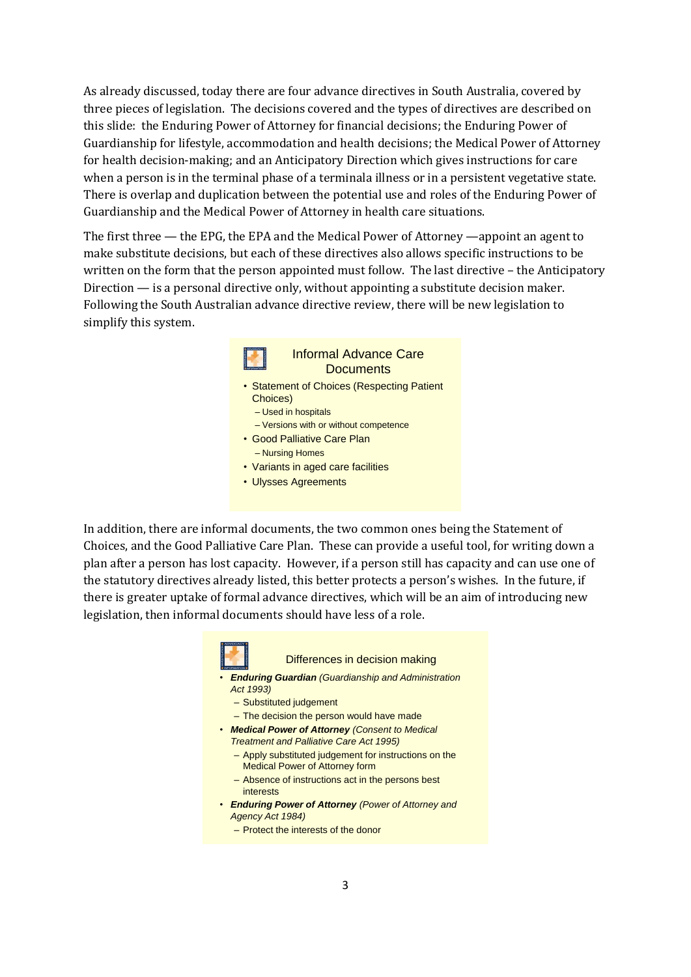As already discussed, today there are four advance directives in South Australia, covered by three pieces of legislation. The decisions covered and the types of directives are described on this slide: the Enduring Power of Attorney for financial decisions; the Enduring Power of Guardianship for lifestyle, accommodation and health decisions; the Medical Power of Attorney for health decision-making; and an Anticipatory Direction which gives instructions for care when a person is in the terminal phase of a terminala illness or in a persistent vegetative state. There is overlap and duplication between the potential use and roles of the Enduring Power of Guardianship and the Medical Power of Attorney in health care situations.

The first three — the EPG, the EPA and the Medical Power of Attorney —appoint an agent to make substitute decisions, but each of these directives also allows specific instructions to be written on the form that the person appointed must follow. The last directive – the Anticipatory Direction — is a personal directive only, without appointing a substitute decision maker. Following the South Australian advance directive review, there will be new legislation to simplify this system.



In addition, there are informal documents, the two common ones being the Statement of Choices, and the Good Palliative Care Plan. These can provide a useful tool, for writing down a plan after a person has lost capacity. However, if a person still has capacity and can use one of the statutory directives already listed, this better protects a person's wishes. In the future, if there is greater uptake of formal advance directives, which will be an aim of introducing new legislation, then informal documents should have less of a role.



Differences in decision making

- *Enduring Guardian (Guardianship and Administration Act 1993)*
	- Substituted judgement
	- The decision the person would have made
- *Medical Power of Attorney (Consent to Medical Treatment and Palliative Care Act 1995)*
	- Apply substituted judgement for instructions on the Medical Power of Attorney form
	- Absence of instructions act in the persons best interests
- *Enduring Power of Attorney (Power of Attorney and Agency Act 1984)*
	- Protect the interests of the donor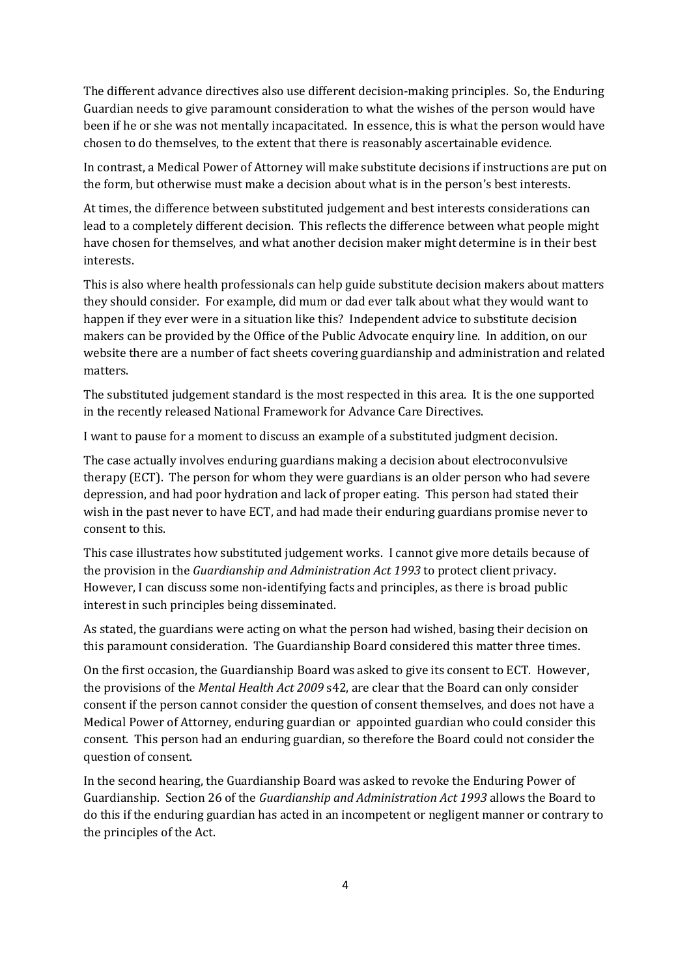The different advance directives also use different decision-making principles. So, the Enduring Guardian needs to give paramount consideration to what the wishes of the person would have been if he or she was not mentally incapacitated. In essence, this is what the person would have chosen to do themselves, to the extent that there is reasonably ascertainable evidence.

In contrast, a Medical Power of Attorney will make substitute decisions if instructions are put on the form, but otherwise must make a decision about what is in the person's best interests.

At times, the difference between substituted judgement and best interests considerations can lead to a completely different decision. This reflects the difference between what people might have chosen for themselves, and what another decision maker might determine is in their best interests.

This is also where health professionals can help guide substitute decision makers about matters they should consider. For example, did mum or dad ever talk about what they would want to happen if they ever were in a situation like this? Independent advice to substitute decision makers can be provided by the Office of the Public Advocate enquiry line. In addition, on our website there are a number of fact sheets covering guardianship and administration and related matters.

The substituted judgement standard is the most respected in this area. It is the one supported in the recently released National Framework for Advance Care Directives.

I want to pause for a moment to discuss an example of a substituted judgment decision.

The case actually involves enduring guardians making a decision about electroconvulsive therapy (ECT). The person for whom they were guardians is an older person who had severe depression, and had poor hydration and lack of proper eating. This person had stated their wish in the past never to have ECT, and had made their enduring guardians promise never to consent to this.

This case illustrates how substituted judgement works. I cannot give more details because of the provision in the *Guardianship and Administration Act 1993* to protect client privacy. However, I can discuss some non-identifying facts and principles, as there is broad public interest in such principles being disseminated.

As stated, the guardians were acting on what the person had wished, basing their decision on this paramount consideration. The Guardianship Board considered this matter three times.

On the first occasion, the Guardianship Board was asked to give its consent to ECT. However, the provisions of the *Mental Health Act 2009* s42, are clear that the Board can only consider consent if the person cannot consider the question of consent themselves, and does not have a Medical Power of Attorney, enduring guardian or appointed guardian who could consider this consent. This person had an enduring guardian, so therefore the Board could not consider the question of consent.

In the second hearing, the Guardianship Board was asked to revoke the Enduring Power of Guardianship. Section 26 of the *Guardianship and Administration Act 1993* allows the Board to do this if the enduring guardian has acted in an incompetent or negligent manner or contrary to the principles of the Act.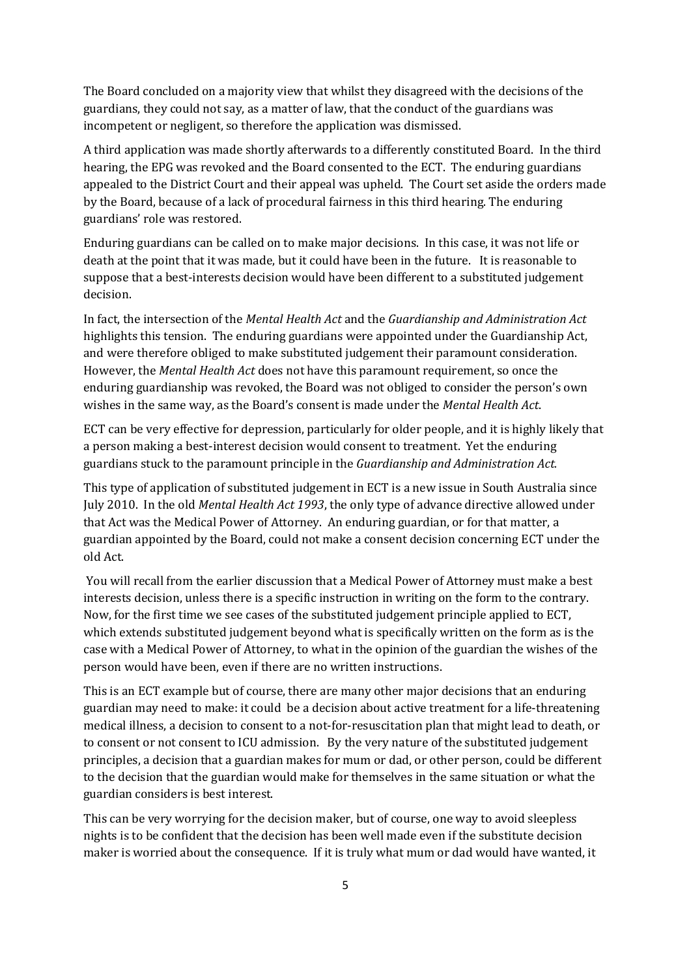The Board concluded on a majority view that whilst they disagreed with the decisions of the guardians, they could not say, as a matter of law, that the conduct of the guardians was incompetent or negligent, so therefore the application was dismissed.

A third application was made shortly afterwards to a differently constituted Board. In the third hearing, the EPG was revoked and the Board consented to the ECT. The enduring guardians appealed to the District Court and their appeal was upheld. The Court set aside the orders made by the Board, because of a lack of procedural fairness in this third hearing. The enduring guardians' role was restored.

Enduring guardians can be called on to make major decisions. In this case, it was not life or death at the point that it was made, but it could have been in the future. It is reasonable to suppose that a best-interests decision would have been different to a substituted judgement decision.

In fact, the intersection of the *Mental Health Act* and the *Guardianship and Administration Act* highlights this tension. The enduring guardians were appointed under the Guardianship Act, and were therefore obliged to make substituted judgement their paramount consideration. However, the *Mental Health Act* does not have this paramount requirement, so once the enduring guardianship was revoked, the Board was not obliged to consider the person's own wishes in the same way, as the Board's consent is made under the *Mental Health Act*.

ECT can be very effective for depression, particularly for older people, and it is highly likely that a person making a best-interest decision would consent to treatment. Yet the enduring guardians stuck to the paramount principle in the *Guardianship and Administration Act.*

This type of application of substituted judgement in ECT is a new issue in South Australia since July 2010. In the old *Mental Health Act 1993*, the only type of advance directive allowed under that Act was the Medical Power of Attorney. An enduring guardian, or for that matter, a guardian appointed by the Board, could not make a consent decision concerning ECT under the old Act.

You will recall from the earlier discussion that a Medical Power of Attorney must make a best interests decision, unless there is a specific instruction in writing on the form to the contrary. Now, for the first time we see cases of the substituted judgement principle applied to ECT, which extends substituted judgement beyond what is specifically written on the form as is the case with a Medical Power of Attorney, to what in the opinion of the guardian the wishes of the person would have been, even if there are no written instructions.

This is an ECT example but of course, there are many other major decisions that an enduring guardian may need to make: it could be a decision about active treatment for a life-threatening medical illness, a decision to consent to a not-for-resuscitation plan that might lead to death, or to consent or not consent to ICU admission. By the very nature of the substituted judgement principles, a decision that a guardian makes for mum or dad, or other person, could be different to the decision that the guardian would make for themselves in the same situation or what the guardian considers is best interest.

This can be very worrying for the decision maker, but of course, one way to avoid sleepless nights is to be confident that the decision has been well made even if the substitute decision maker is worried about the consequence. If it is truly what mum or dad would have wanted, it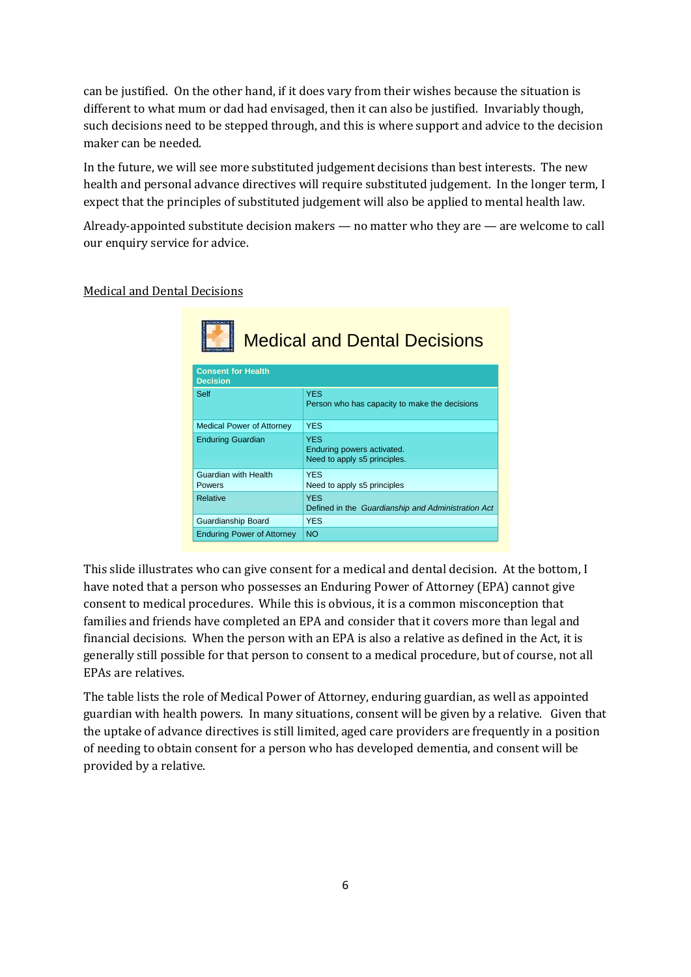can be justified. On the other hand, if it does vary from their wishes because the situation is different to what mum or dad had envisaged, then it can also be justified. Invariably though, such decisions need to be stepped through, and this is where support and advice to the decision maker can be needed.

In the future, we will see more substituted judgement decisions than best interests. The new health and personal advance directives will require substituted judgement. In the longer term, I expect that the principles of substituted judgement will also be applied to mental health law.

Already-appointed substitute decision makers — no matter who they are — are welcome to call our enquiry service for advice.

| <b>Medical and Dental Decisions</b><br><b>Consent for Health</b><br><b>Decision</b> |                                                                          |  |
|-------------------------------------------------------------------------------------|--------------------------------------------------------------------------|--|
| Self                                                                                | <b>YES</b><br>Person who has capacity to make the decisions              |  |
| <b>Medical Power of Attorney</b>                                                    | <b>YES</b>                                                               |  |
| <b>Enduring Guardian</b>                                                            | <b>YES</b><br>Enduring powers activated.<br>Need to apply s5 principles. |  |
| Guardian with Health<br>Powers                                                      | <b>YES</b><br>Need to apply s5 principles                                |  |
| <b>Relative</b>                                                                     | <b>YES</b><br>Defined in the Guardianship and Administration Act         |  |
| Guardianship Board                                                                  | <b>YES</b>                                                               |  |
| <b>Enduring Power of Attorney</b>                                                   | <b>NO</b>                                                                |  |

Medical and Dental Decisions

This slide illustrates who can give consent for a medical and dental decision. At the bottom, I have noted that a person who possesses an Enduring Power of Attorney (EPA) cannot give consent to medical procedures. While this is obvious, it is a common misconception that families and friends have completed an EPA and consider that it covers more than legal and financial decisions. When the person with an EPA is also a relative as defined in the Act, it is generally still possible for that person to consent to a medical procedure, but of course, not all EPAs are relatives.

The table lists the role of Medical Power of Attorney, enduring guardian, as well as appointed guardian with health powers. In many situations, consent will be given by a relative. Given that the uptake of advance directives is still limited, aged care providers are frequently in a position of needing to obtain consent for a person who has developed dementia, and consent will be provided by a relative.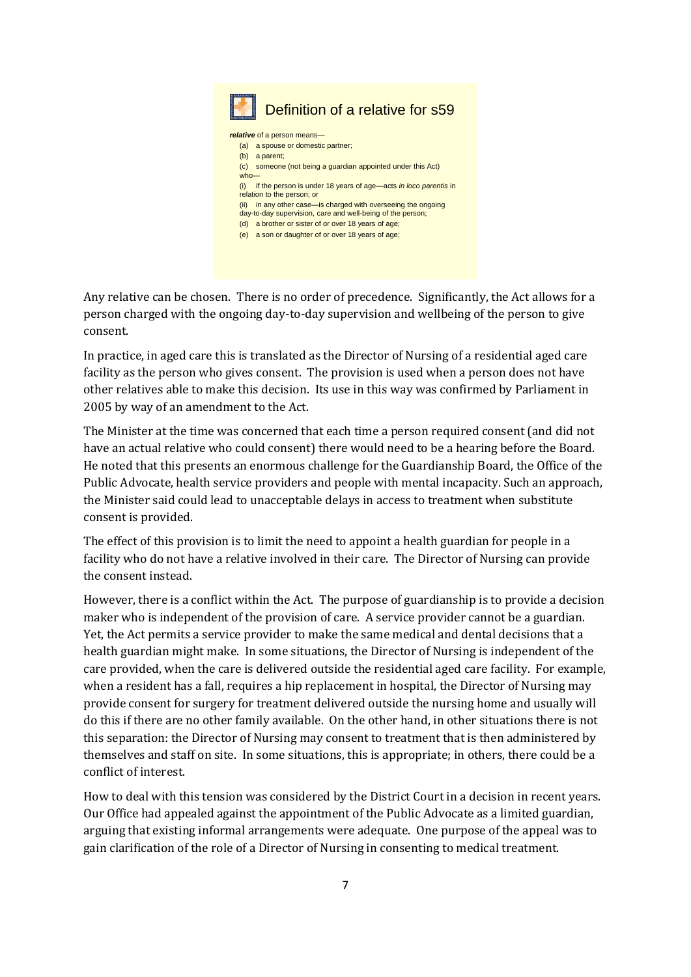

Any relative can be chosen. There is no order of precedence. Significantly, the Act allows for a person charged with the ongoing day-to-day supervision and wellbeing of the person to give consent.

In practice, in aged care this is translated as the Director of Nursing of a residential aged care facility as the person who gives consent. The provision is used when a person does not have other relatives able to make this decision. Its use in this way was confirmed by Parliament in 2005 by way of an amendment to the Act.

The Minister at the time was concerned that each time a person required consent (and did not have an actual relative who could consent) there would need to be a hearing before the Board. He noted that this presents an enormous challenge for the Guardianship Board, the Office of the Public Advocate, health service providers and people with mental incapacity. Such an approach, the Minister said could lead to unacceptable delays in access to treatment when substitute consent is provided.

The effect of this provision is to limit the need to appoint a health guardian for people in a facility who do not have a relative involved in their care. The Director of Nursing can provide the consent instead.

However, there is a conflict within the Act. The purpose of guardianship is to provide a decision maker who is independent of the provision of care. A service provider cannot be a guardian. Yet, the Act permits a service provider to make the same medical and dental decisions that a health guardian might make. In some situations, the Director of Nursing is independent of the care provided, when the care is delivered outside the residential aged care facility. For example, when a resident has a fall, requires a hip replacement in hospital, the Director of Nursing may provide consent for surgery for treatment delivered outside the nursing home and usually will do this if there are no other family available. On the other hand, in other situations there is not this separation: the Director of Nursing may consent to treatment that is then administered by themselves and staff on site. In some situations, this is appropriate; in others, there could be a conflict of interest.

How to deal with this tension was considered by the District Court in a decision in recent years. Our Office had appealed against the appointment of the Public Advocate as a limited guardian, arguing that existing informal arrangements were adequate. One purpose of the appeal was to gain clarification of the role of a Director of Nursing in consenting to medical treatment.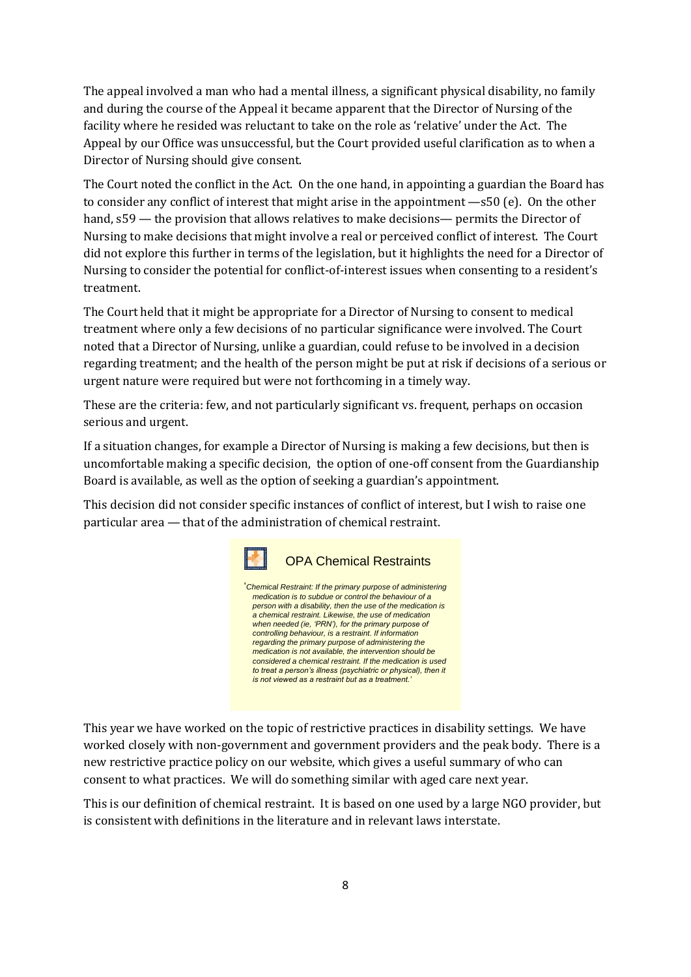The appeal involved a man who had a mental illness, a significant physical disability, no family and during the course of the Appeal it became apparent that the Director of Nursing of the facility where he resided was reluctant to take on the role as 'relative' under the Act. The Appeal by our Office was unsuccessful, but the Court provided useful clarification as to when a Director of Nursing should give consent.

The Court noted the conflict in the Act. On the one hand, in appointing a guardian the Board has to consider any conflict of interest that might arise in the appointment —s50 (e). On the other hand, s59 — the provision that allows relatives to make decisions— permits the Director of Nursing to make decisions that might involve a real or perceived conflict of interest. The Court did not explore this further in terms of the legislation, but it highlights the need for a Director of Nursing to consider the potential for conflict-of-interest issues when consenting to a resident's treatment.

The Court held that it might be appropriate for a Director of Nursing to consent to medical treatment where only a few decisions of no particular significance were involved. The Court noted that a Director of Nursing, unlike a guardian, could refuse to be involved in a decision regarding treatment; and the health of the person might be put at risk if decisions of a serious or urgent nature were required but were not forthcoming in a timely way.

These are the criteria: few, and not particularly significant vs. frequent, perhaps on occasion serious and urgent.

If a situation changes, for example a Director of Nursing is making a few decisions, but then is uncomfortable making a specific decision, the option of one-off consent from the Guardianship Board is available, as well as the option of seeking a guardian's appointment.

This decision did not consider specific instances of conflict of interest, but I wish to raise one particular area — that of the administration of chemical restraint.



This year we have worked on the topic of restrictive practices in disability settings. We have worked closely with non-government and government providers and the peak body. There is a new restrictive practice policy on our website, which gives a useful summary of who can consent to what practices. We will do something similar with aged care next year.

This is our definition of chemical restraint. It is based on one used by a large NGO provider, but is consistent with definitions in the literature and in relevant laws interstate.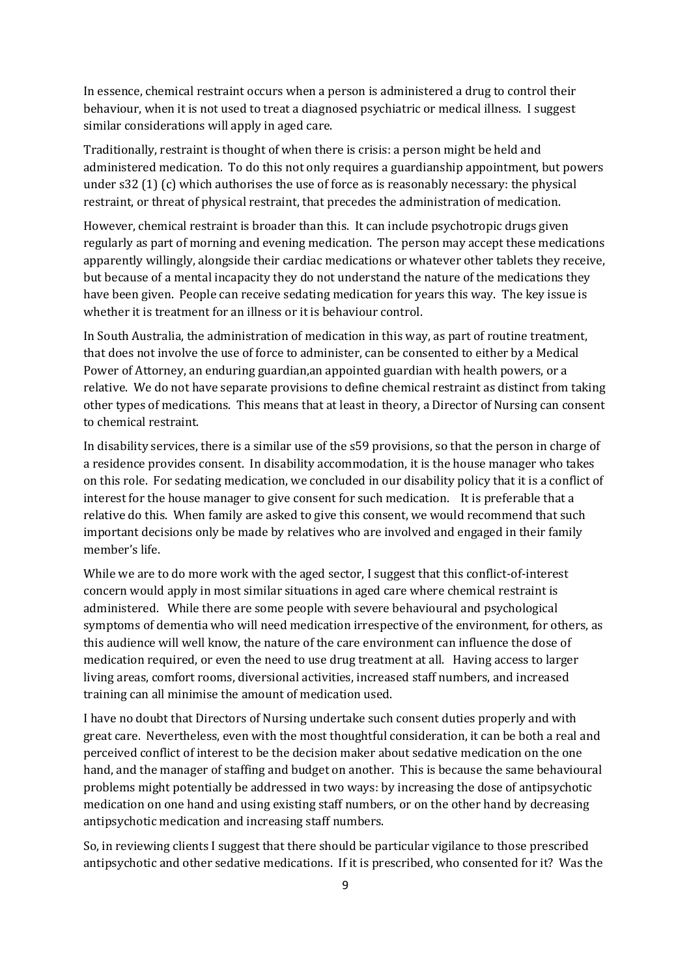In essence, chemical restraint occurs when a person is administered a drug to control their behaviour, when it is not used to treat a diagnosed psychiatric or medical illness. I suggest similar considerations will apply in aged care.

Traditionally, restraint is thought of when there is crisis: a person might be held and administered medication. To do this not only requires a guardianship appointment, but powers under s32 (1) (c) which authorises the use of force as is reasonably necessary: the physical restraint, or threat of physical restraint, that precedes the administration of medication.

However, chemical restraint is broader than this. It can include psychotropic drugs given regularly as part of morning and evening medication. The person may accept these medications apparently willingly, alongside their cardiac medications or whatever other tablets they receive, but because of a mental incapacity they do not understand the nature of the medications they have been given. People can receive sedating medication for years this way. The key issue is whether it is treatment for an illness or it is behaviour control.

In South Australia, the administration of medication in this way, as part of routine treatment, that does not involve the use of force to administer, can be consented to either by a Medical Power of Attorney, an enduring guardian,an appointed guardian with health powers, or a relative. We do not have separate provisions to define chemical restraint as distinct from taking other types of medications. This means that at least in theory, a Director of Nursing can consent to chemical restraint.

In disability services, there is a similar use of the s59 provisions, so that the person in charge of a residence provides consent. In disability accommodation, it is the house manager who takes on this role. For sedating medication, we concluded in our disability policy that it is a conflict of interest for the house manager to give consent for such medication. It is preferable that a relative do this. When family are asked to give this consent, we would recommend that such important decisions only be made by relatives who are involved and engaged in their family member's life.

While we are to do more work with the aged sector, I suggest that this conflict-of-interest concern would apply in most similar situations in aged care where chemical restraint is administered. While there are some people with severe behavioural and psychological symptoms of dementia who will need medication irrespective of the environment, for others, as this audience will well know, the nature of the care environment can influence the dose of medication required, or even the need to use drug treatment at all. Having access to larger living areas, comfort rooms, diversional activities, increased staff numbers, and increased training can all minimise the amount of medication used.

I have no doubt that Directors of Nursing undertake such consent duties properly and with great care. Nevertheless, even with the most thoughtful consideration, it can be both a real and perceived conflict of interest to be the decision maker about sedative medication on the one hand, and the manager of staffing and budget on another. This is because the same behavioural problems might potentially be addressed in two ways: by increasing the dose of antipsychotic medication on one hand and using existing staff numbers, or on the other hand by decreasing antipsychotic medication and increasing staff numbers.

So, in reviewing clients I suggest that there should be particular vigilance to those prescribed antipsychotic and other sedative medications. If it is prescribed, who consented for it? Was the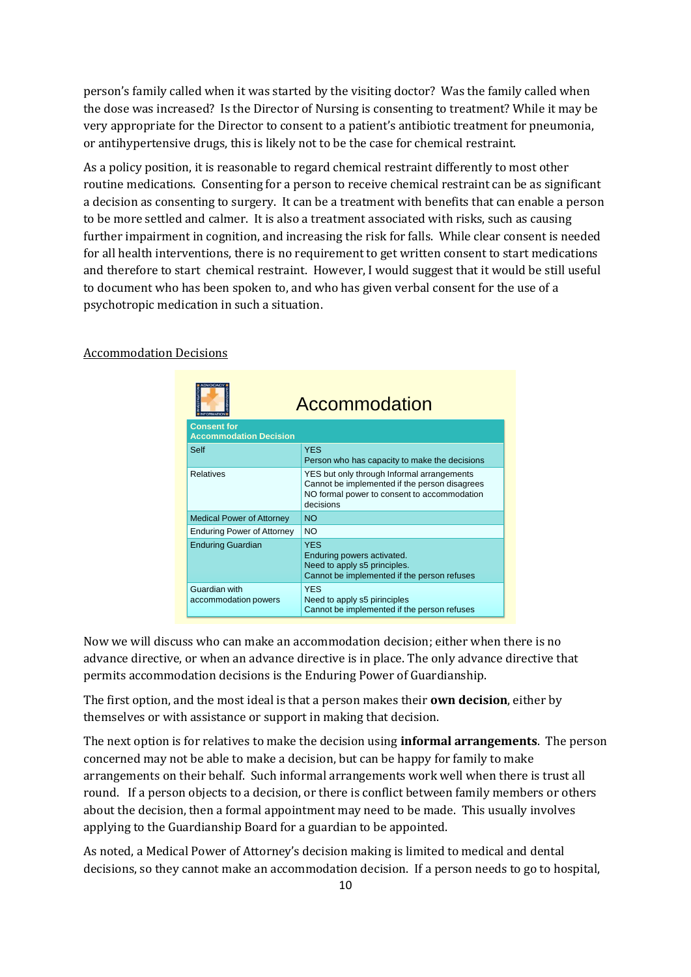person's family called when it was started by the visiting doctor? Was the family called when the dose was increased? Is the Director of Nursing is consenting to treatment? While it may be very appropriate for the Director to consent to a patient's antibiotic treatment for pneumonia, or antihypertensive drugs, this is likely not to be the case for chemical restraint.

As a policy position, it is reasonable to regard chemical restraint differently to most other routine medications. Consenting for a person to receive chemical restraint can be as significant a decision as consenting to surgery. It can be a treatment with benefits that can enable a person to be more settled and calmer. It is also a treatment associated with risks, such as causing further impairment in cognition, and increasing the risk for falls. While clear consent is needed for all health interventions, there is no requirement to get written consent to start medications and therefore to start chemical restraint. However, I would suggest that it would be still useful to document who has been spoken to, and who has given verbal consent for the use of a psychotropic medication in such a situation.

|                                                     | Accommodation                                                                                                                                           |  |
|-----------------------------------------------------|---------------------------------------------------------------------------------------------------------------------------------------------------------|--|
| <b>Consent for</b><br><b>Accommodation Decision</b> |                                                                                                                                                         |  |
| Self                                                | <b>YES</b><br>Person who has capacity to make the decisions                                                                                             |  |
| Relatives                                           | YES but only through Informal arrangements<br>Cannot be implemented if the person disagrees<br>NO formal power to consent to accommodation<br>decisions |  |
| <b>Medical Power of Attorney</b>                    | <b>NO</b>                                                                                                                                               |  |
| <b>Enduring Power of Attorney</b>                   | <b>NO</b>                                                                                                                                               |  |
| <b>Enduring Guardian</b>                            | <b>YES</b><br>Enduring powers activated.<br>Need to apply s5 principles.<br>Cannot be implemented if the person refuses                                 |  |
| Guardian with<br>accommodation powers               | <b>YES</b><br>Need to apply s5 pirinciples<br>Cannot be implemented if the person refuses                                                               |  |

#### Accommodation Decisions

Now we will discuss who can make an accommodation decision; either when there is no advance directive, or when an advance directive is in place. The only advance directive that permits accommodation decisions is the Enduring Power of Guardianship.

The first option, and the most ideal is that a person makes their **own decision**, either by themselves or with assistance or support in making that decision.

The next option is for relatives to make the decision using **informal arrangements**. The person concerned may not be able to make a decision, but can be happy for family to make arrangements on their behalf. Such informal arrangements work well when there is trust all round. If a person objects to a decision, or there is conflict between family members or others about the decision, then a formal appointment may need to be made. This usually involves applying to the Guardianship Board for a guardian to be appointed.

As noted, a Medical Power of Attorney's decision making is limited to medical and dental decisions, so they cannot make an accommodation decision. If a person needs to go to hospital,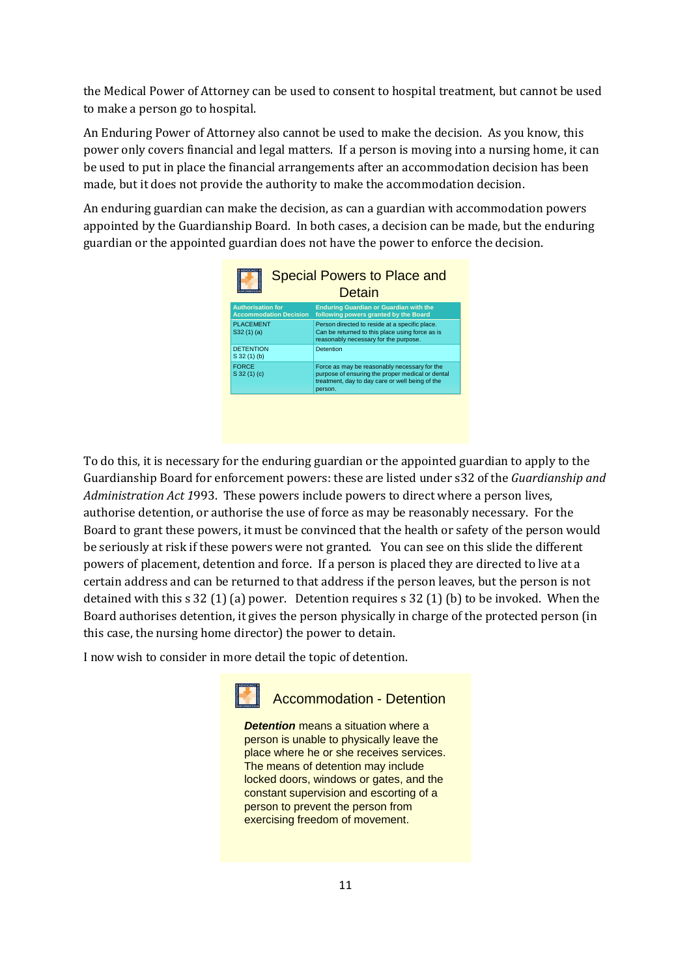the Medical Power of Attorney can be used to consent to hospital treatment, but cannot be used to make a person go to hospital.

An Enduring Power of Attorney also cannot be used to make the decision. As you know, this power only covers financial and legal matters. If a person is moving into a nursing home, it can be used to put in place the financial arrangements after an accommodation decision has been made, but it does not provide the authority to make the accommodation decision.

An enduring guardian can make the decision, as can a guardian with accommodation powers appointed by the Guardianship Board. In both cases, a decision can be made, but the enduring guardian or the appointed guardian does not have the power to enforce the decision.



To do this, it is necessary for the enduring guardian or the appointed guardian to apply to the Guardianship Board for enforcement powers: these are listed under s32 of the *Guardianship and Administration Act 1*993. These powers include powers to direct where a person lives, authorise detention, or authorise the use of force as may be reasonably necessary. For the Board to grant these powers, it must be convinced that the health or safety of the person would be seriously at risk if these powers were not granted. You can see on this slide the different powers of placement, detention and force. If a person is placed they are directed to live at a certain address and can be returned to that address if the person leaves, but the person is not detained with this s 32 (1) (a) power. Detention requires s 32 (1) (b) to be invoked. When the Board authorises detention, it gives the person physically in charge of the protected person (in this case, the nursing home director) the power to detain.

I now wish to consider in more detail the topic of detention.



Accommodation - Detention

*Detention* means a situation where a person is unable to physically leave the place where he or she receives services. The means of detention may include locked doors, windows or gates, and the constant supervision and escorting of a person to prevent the person from exercising freedom of movement.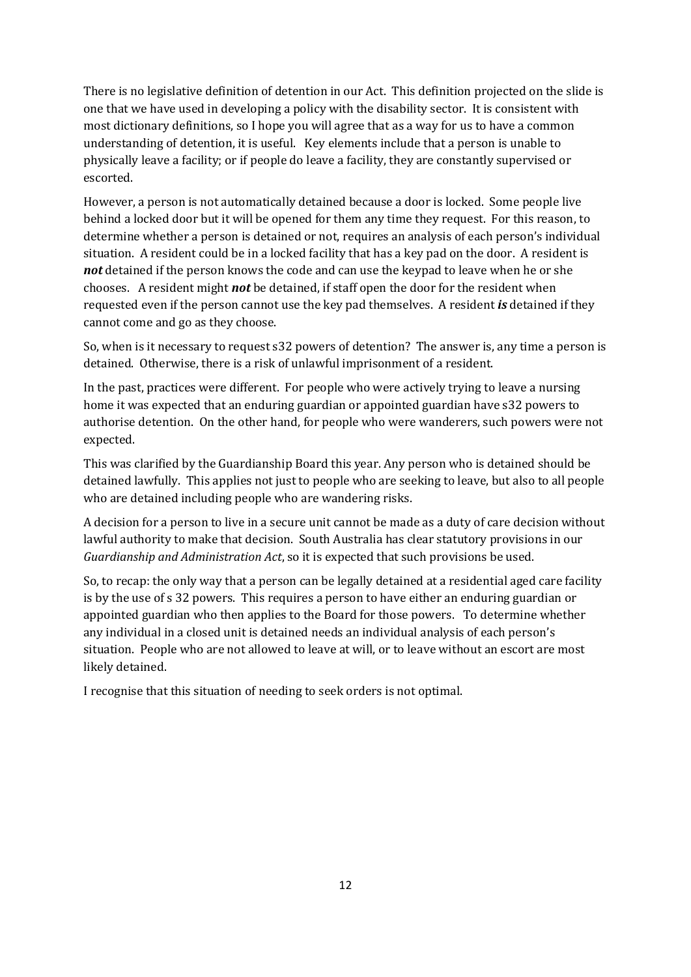There is no legislative definition of detention in our Act. This definition projected on the slide is one that we have used in developing a policy with the disability sector. It is consistent with most dictionary definitions, so I hope you will agree that as a way for us to have a common understanding of detention, it is useful. Key elements include that a person is unable to physically leave a facility; or if people do leave a facility, they are constantly supervised or escorted.

However, a person is not automatically detained because a door is locked. Some people live behind a locked door but it will be opened for them any time they request. For this reason, to determine whether a person is detained or not, requires an analysis of each person's individual situation. A resident could be in a locked facility that has a key pad on the door. A resident is *not* detained if the person knows the code and can use the keypad to leave when he or she chooses. A resident might *not* be detained, if staff open the door for the resident when requested even if the person cannot use the key pad themselves. A resident *is* detained if they cannot come and go as they choose.

So, when is it necessary to request s32 powers of detention? The answer is, any time a person is detained. Otherwise, there is a risk of unlawful imprisonment of a resident.

In the past, practices were different. For people who were actively trying to leave a nursing home it was expected that an enduring guardian or appointed guardian have s32 powers to authorise detention. On the other hand, for people who were wanderers, such powers were not expected.

This was clarified by the Guardianship Board this year. Any person who is detained should be detained lawfully. This applies not just to people who are seeking to leave, but also to all people who are detained including people who are wandering risks.

A decision for a person to live in a secure unit cannot be made as a duty of care decision without lawful authority to make that decision. South Australia has clear statutory provisions in our *Guardianship and Administration Act*, so it is expected that such provisions be used.

So, to recap: the only way that a person can be legally detained at a residential aged care facility is by the use of s 32 powers. This requires a person to have either an enduring guardian or appointed guardian who then applies to the Board for those powers. To determine whether any individual in a closed unit is detained needs an individual analysis of each person's situation. People who are not allowed to leave at will, or to leave without an escort are most likely detained.

I recognise that this situation of needing to seek orders is not optimal.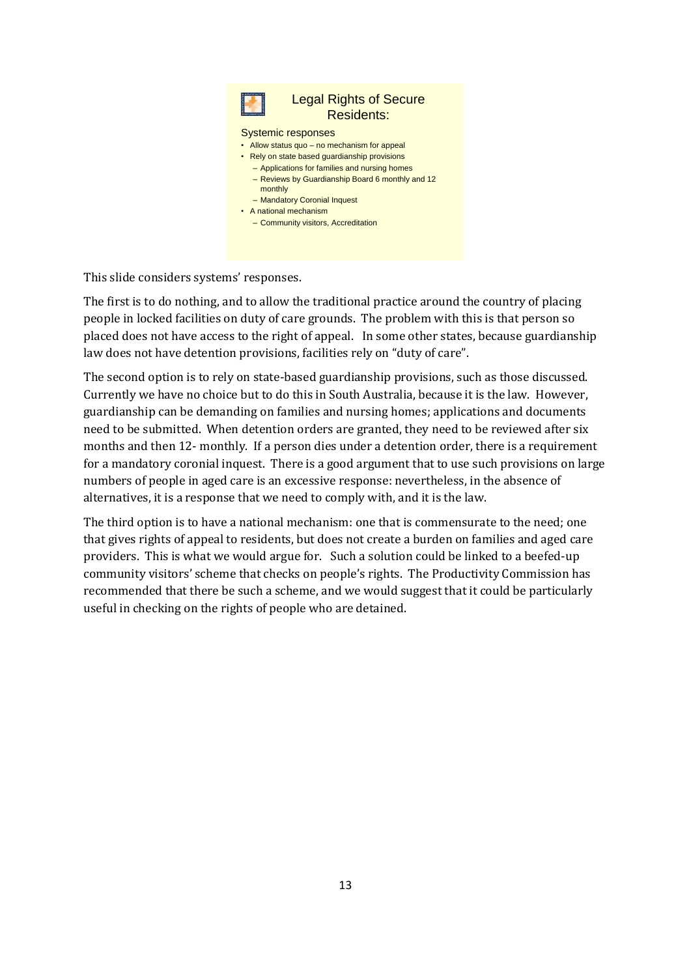

This slide considers systems' responses.

The first is to do nothing, and to allow the traditional practice around the country of placing people in locked facilities on duty of care grounds. The problem with this is that person so placed does not have access to the right of appeal. In some other states, because guardianship law does not have detention provisions, facilities rely on "duty of care".

The second option is to rely on state-based guardianship provisions, such as those discussed. Currently we have no choice but to do this in South Australia, because it is the law. However, guardianship can be demanding on families and nursing homes; applications and documents need to be submitted. When detention orders are granted, they need to be reviewed after six months and then 12- monthly. If a person dies under a detention order, there is a requirement for a mandatory coronial inquest. There is a good argument that to use such provisions on large numbers of people in aged care is an excessive response: nevertheless, in the absence of alternatives, it is a response that we need to comply with, and it is the law.

The third option is to have a national mechanism: one that is commensurate to the need; one that gives rights of appeal to residents, but does not create a burden on families and aged care providers. This is what we would argue for. Such a solution could be linked to a beefed-up community visitors' scheme that checks on people's rights. The Productivity Commission has recommended that there be such a scheme, and we would suggest that it could be particularly useful in checking on the rights of people who are detained.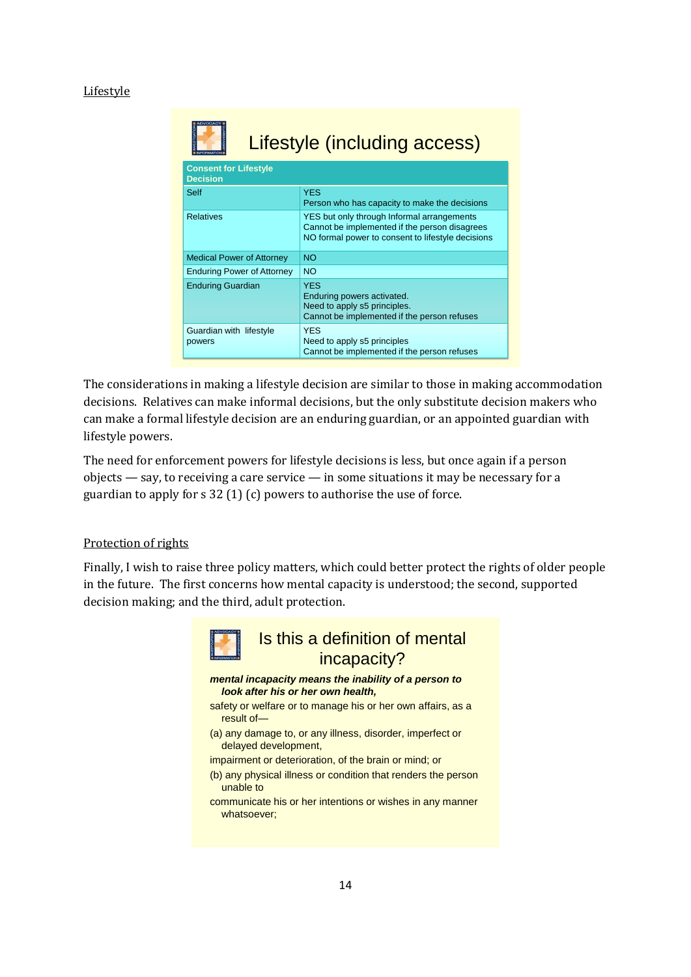### **Lifestyle**

| <b>Lifestyle (including access)</b><br><b>CORMATION</b> |                                                                                                                                                  |  |
|---------------------------------------------------------|--------------------------------------------------------------------------------------------------------------------------------------------------|--|
| <b>Consent for Lifestyle</b><br><b>Decision</b>         |                                                                                                                                                  |  |
| Self                                                    | <b>YES</b><br>Person who has capacity to make the decisions                                                                                      |  |
| <b>Relatives</b>                                        | YES but only through Informal arrangements<br>Cannot be implemented if the person disagrees<br>NO formal power to consent to lifestyle decisions |  |
| <b>Medical Power of Attorney</b>                        | <b>NO</b>                                                                                                                                        |  |
| <b>Enduring Power of Attorney</b>                       | <b>NO</b>                                                                                                                                        |  |
| <b>Enduring Guardian</b>                                | <b>YES</b><br>Enduring powers activated.<br>Need to apply s5 principles.<br>Cannot be implemented if the person refuses                          |  |
| Guardian with lifestyle<br>powers                       | <b>YES</b><br>Need to apply s5 principles<br>Cannot be implemented if the person refuses                                                         |  |

The considerations in making a lifestyle decision are similar to those in making accommodation decisions. Relatives can make informal decisions, but the only substitute decision makers who can make a formal lifestyle decision are an enduring guardian, or an appointed guardian with lifestyle powers.

The need for enforcement powers for lifestyle decisions is less, but once again if a person objects — say, to receiving a care service — in some situations it may be necessary for a guardian to apply for s 32 (1) (c) powers to authorise the use of force.

### Protection of rights

Finally, I wish to raise three policy matters, which could better protect the rights of older people in the future. The first concerns how mental capacity is understood; the second, supported decision making; and the third, adult protection.

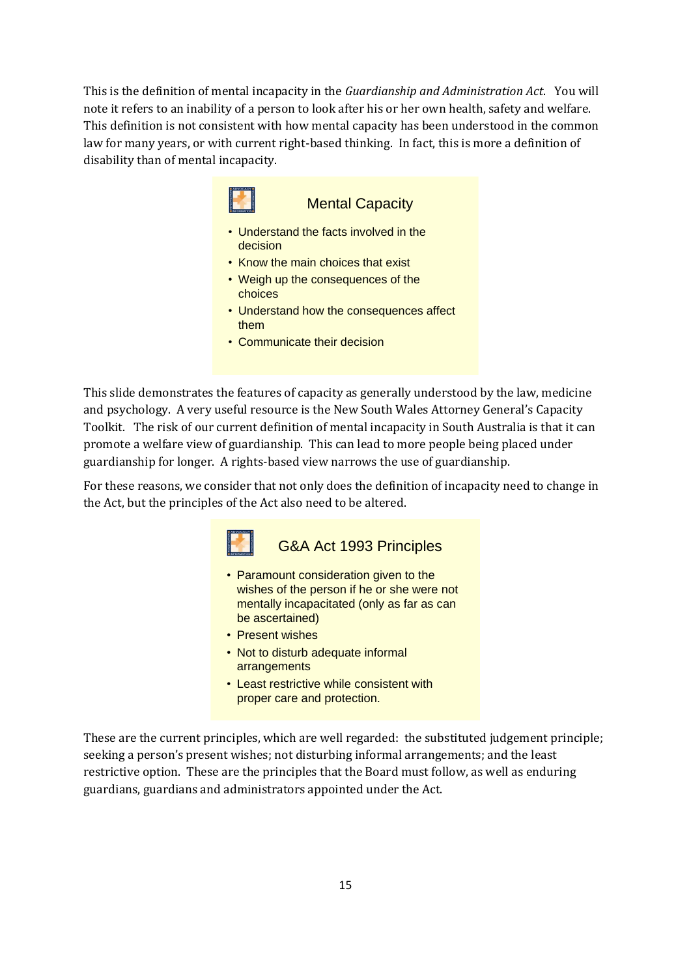This is the definition of mental incapacity in the *Guardianship and Administration Act*. You will note it refers to an inability of a person to look after his or her own health, safety and welfare. This definition is not consistent with how mental capacity has been understood in the common law for many years, or with current right-based thinking. In fact, this is more a definition of disability than of mental incapacity.



### Mental Capacity

- Understand the facts involved in the decision
- Know the main choices that exist
- Weigh up the consequences of the choices
- Understand how the consequences affect them
- Communicate their decision

This slide demonstrates the features of capacity as generally understood by the law, medicine and psychology. A very useful resource is the New South Wales Attorney General's Capacity Toolkit. The risk of our current definition of mental incapacity in South Australia is that it can promote a welfare view of guardianship. This can lead to more people being placed under guardianship for longer. A rights-based view narrows the use of guardianship.

For these reasons, we consider that not only does the definition of incapacity need to change in the Act, but the principles of the Act also need to be altered.



- Paramount consideration given to the wishes of the person if he or she were not mentally incapacitated (only as far as can be ascertained)
- Present wishes
- Not to disturb adequate informal arrangements
- Least restrictive while consistent with proper care and protection.

These are the current principles, which are well regarded: the substituted judgement principle; seeking a person's present wishes; not disturbing informal arrangements; and the least restrictive option. These are the principles that the Board must follow, as well as enduring guardians, guardians and administrators appointed under the Act.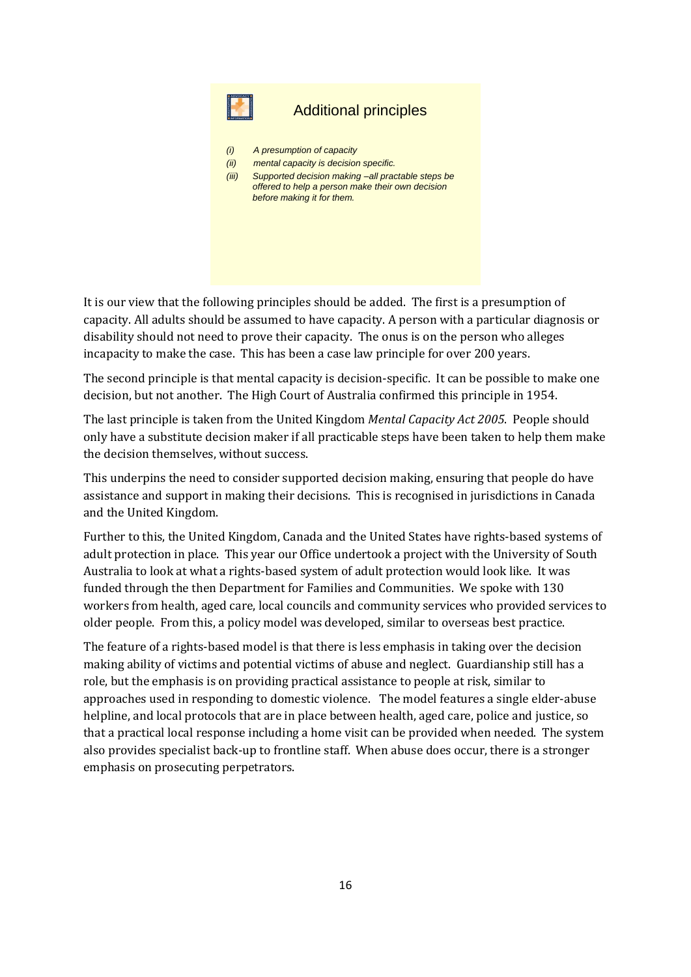

## Additional principles

- *(i) A presumption of capacity*
- *(ii) mental capacity is decision specific.*
- *(iii) Supported decision making –all practable steps be offered to help a person make their own decision before making it for them.*

It is our view that the following principles should be added. The first is a presumption of capacity. All adults should be assumed to have capacity. A person with a particular diagnosis or disability should not need to prove their capacity. The onus is on the person who alleges incapacity to make the case. This has been a case law principle for over 200 years.

The second principle is that mental capacity is decision-specific. It can be possible to make one decision, but not another. The High Court of Australia confirmed this principle in 1954.

The last principle is taken from the United Kingdom *Mental Capacity Act 2005*. People should only have a substitute decision maker if all practicable steps have been taken to help them make the decision themselves, without success.

This underpins the need to consider supported decision making, ensuring that people do have assistance and support in making their decisions. This is recognised in jurisdictions in Canada and the United Kingdom.

Further to this, the United Kingdom, Canada and the United States have rights-based systems of adult protection in place. This year our Office undertook a project with the University of South Australia to look at what a rights-based system of adult protection would look like. It was funded through the then Department for Families and Communities. We spoke with 130 workers from health, aged care, local councils and community services who provided services to older people. From this, a policy model was developed, similar to overseas best practice.

The feature of a rights-based model is that there is less emphasis in taking over the decision making ability of victims and potential victims of abuse and neglect. Guardianship still has a role, but the emphasis is on providing practical assistance to people at risk, similar to approaches used in responding to domestic violence. The model features a single elder-abuse helpline, and local protocols that are in place between health, aged care, police and justice, so that a practical local response including a home visit can be provided when needed. The system also provides specialist back-up to frontline staff. When abuse does occur, there is a stronger emphasis on prosecuting perpetrators.